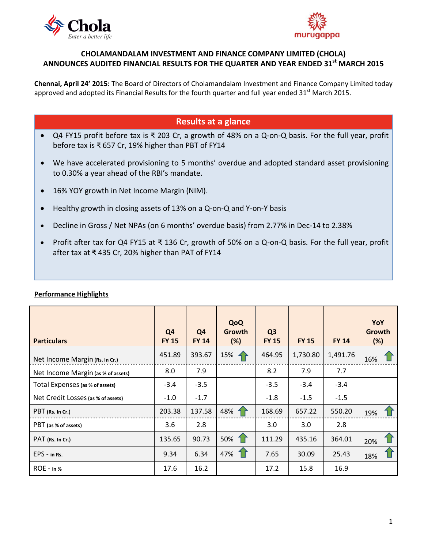



## **CHOLAMANDALAM INVESTMENT AND FINANCE COMPANY LIMITED (CHOLA) ANNOUNCES AUDITED FINANCIAL RESULTS FOR THE QUARTER AND YEAR ENDED 31st MARCH 2015**

**Chennai, April 24' 2015:** The Board of Directors of Cholamandalam Investment and Finance Company Limited today approved and adopted its Financial Results for the fourth quarter and full year ended 31<sup>st</sup> March 2015.

# **Results at a glance**

- Q4 FY15 profit before tax is ₹ 203 Cr, a growth of 48% on a Q-on-Q basis. For the full year, profit before tax is ₹ 657 Cr, 19% higher than PBT of FY14
- We have accelerated provisioning to 5 months' overdue and adopted standard asset provisioning to 0.30% a year ahead of the RBI's mandate.
- 16% YOY growth in Net Income Margin (NIM).
- Healthy growth in closing assets of 13% on a Q-on-Q and Y-on-Y basis
- Decline in Gross / Net NPAs (on 6 months' overdue basis) from 2.77% in Dec-14 to 2.38%
- Profit after tax for Q4 FY15 at ₹ 136 Cr, growth of 50% on a Q-on-Q basis. For the full year, profit after tax at ₹ 435 Cr, 20% higher than PAT of FY14

| <b>Particulars</b>                 | Q <sub>4</sub><br><b>FY 15</b> | Q <sub>4</sub><br><b>FY 14</b> | QoQ<br>Growth<br>(%) | Q <sub>3</sub><br><b>FY 15</b> | <b>FY 15</b> | <b>FY 14</b> | YoY<br><b>Growth</b><br>(%) |
|------------------------------------|--------------------------------|--------------------------------|----------------------|--------------------------------|--------------|--------------|-----------------------------|
| Net Income Margin (Rs. In Cr.)     | 451.89                         | 393.67                         | 15%                  | 464.95                         | 1,730.80     | 1,491.76     | 16%                         |
| Net Income Margin (as % of assets) | 8.0                            | 7.9                            |                      | 8.2                            | 7.9          | 7.7          |                             |
| Total Expenses (as % of assets)    | $-3.4$                         | $-3.5$                         |                      | $-3.5$                         | $-3.4$       | $-3.4$       |                             |
| Net Credit Losses (as % of assets) | $-1.0$                         | $-1.7$                         |                      | $-1.8$                         | $-1.5$       | $-1.5$       |                             |
| PBT (Rs. In Cr.)                   | 203.38                         | 137.58                         | 48%                  | 168.69                         | 657.22       | 550.20       | 19%                         |
| PBT (as % of assets)               | 3.6                            | 2.8                            |                      | 3.0                            | 3.0          | 2.8          |                             |
| PAT (Rs. In Cr.)                   | 135.65                         | 90.73                          | 50%                  | 111.29                         | 435.16       | 364.01       | 20%                         |
| $EPS - in Rs.$                     | 9.34                           | 6.34                           | 47%                  | 7.65                           | 30.09        | 25.43        | 18%                         |
| $ROE - in %$                       | 17.6                           | 16.2                           |                      | 17.2                           | 15.8         | 16.9         |                             |

### **Performance Highlights**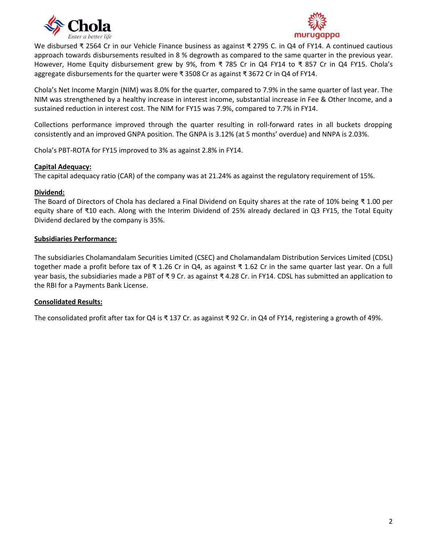



We disbursed ₹ 2564 Cr in our Vehicle Finance business as against ₹ 2795 C. in Q4 of FY14. A continued cautious approach towards disbursements resulted in 8 % degrowth as compared to the same quarter in the previous year. However, Home Equity disbursement grew by 9%, from ₹ 785 Cr in Q4 FY14 to ₹ 857 Cr in Q4 FY15. Chola's aggregate disbursements for the quarter were ₹ 3508 Cr as against ₹ 3672 Cr in Q4 of FY14.

Chola's Net Income Margin (NIM) was 8.0% for the quarter, compared to 7.9% in the same quarter of last year. The NIM was strengthened by a healthy increase in interest income, substantial increase in Fee & Other Income, and a sustained reduction in interest cost. The NIM for FY15 was 7.9%, compared to 7.7% in FY14.

Collections performance improved through the quarter resulting in roll-forward rates in all buckets dropping consistently and an improved GNPA position. The GNPA is 3.12% (at 5 months' overdue) and NNPA is 2.03%.

Chola's PBT-ROTA for FY15 improved to 3% as against 2.8% in FY14.

#### **Capital Adequacy:**

The capital adequacy ratio (CAR) of the company was at 21.24% as against the regulatory requirement of 15%.

### **Dividend:**

The Board of Directors of Chola has declared a Final Dividend on Equity shares at the rate of 10% being ₹ 1.00 per equity share of ₹10 each. Along with the Interim Dividend of 25% already declared in Q3 FY15, the Total Equity Dividend declared by the company is 35%.

### **Subsidiaries Performance:**

The subsidiaries Cholamandalam Securities Limited (CSEC) and Cholamandalam Distribution Services Limited (CDSL) together made a profit before tax of ₹ 1.26 Cr in Q4, as against ₹ 1.62 Cr in the same quarter last year. On a full year basis, the subsidiaries made a PBT of ₹ 9 Cr. as against ₹ 4.28 Cr. in FY14. CDSL has submitted an application to the RBI for a Payments Bank License.

### **Consolidated Results:**

The consolidated profit after tax for Q4 is ₹ 137 Cr. as against ₹ 92 Cr. in Q4 of FY14, registering a growth of 49%.